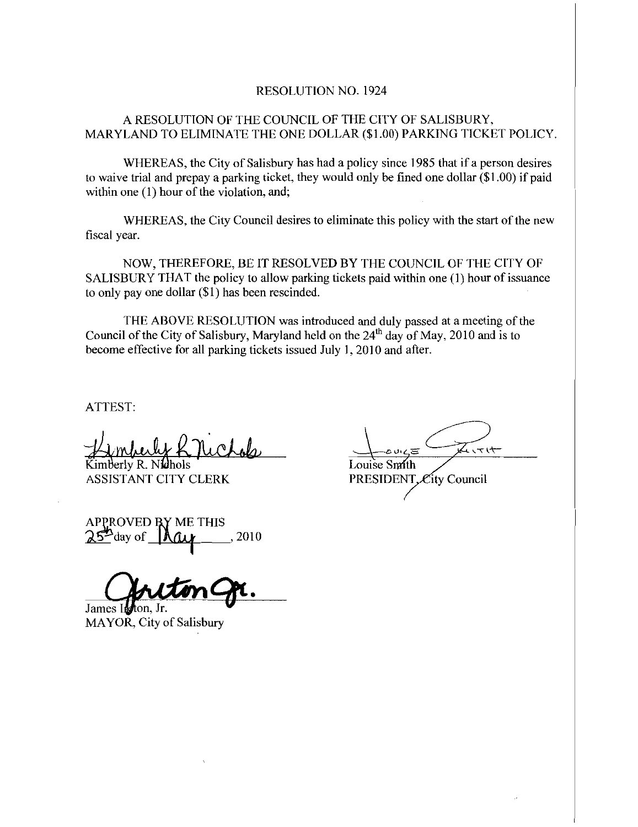## RESOLUTION NO. 1924

## A RESOLUTION OF THE COUNCIL OF THE CITY OF SALISBURY MARYLAND TO ELIMINATE THE ONE DOLLAR (\$1.00) PARKING TICKET POLICY.

WHEREAS, the City of Salisbury has had a policy since 1985 that if a person desires to waive trial and prepay a parking ticket, they would only be fined one dollar  $(\$1.00)$  if paid within one  $(1)$  hour of the violation, and;

WHEREAS, the City Council desires to eliminate this policy with the start of the new fiscal year

NOW, THEREFORE, BE IT RESOLVED BY THE COUNCIL OF THE CITY OF SALISBURY THAT the policy to allow parking tickets paid within one (1) hour of issuance<br>to only pay one dollar (\$1) has been rescinded.

THE ABOVE RESOLUTION was introduced and duly passed at a meeting of the Council of the City of Salisbury, Maryland held on the  $24<sup>th</sup>$  day of May, 2010 and is to become effective for all parking tickets issued July 1, 2010 and after.

ATTEST

Kimberly R. Nichols Lob

ASSISTANT CITY CLERK PRESIDENT, City Council

APPROVED BY ME THIS  $25^{\omega}$ day of  $\mu$  . 2010

James I

MAYOR. City of Salisbury

 $2517$ Louise Smith